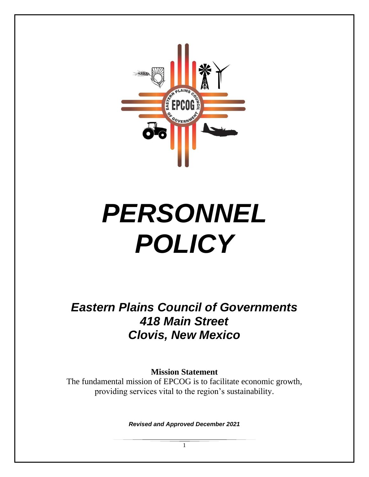

# *PERSONNEL POLICY*

*Eastern Plains Council of Governments 418 Main Street Clovis, New Mexico*

**Mission Statement**

The fundamental mission of EPCOG is to facilitate economic growth, providing services vital to the region's sustainability.

*Revised and Approved December 2021*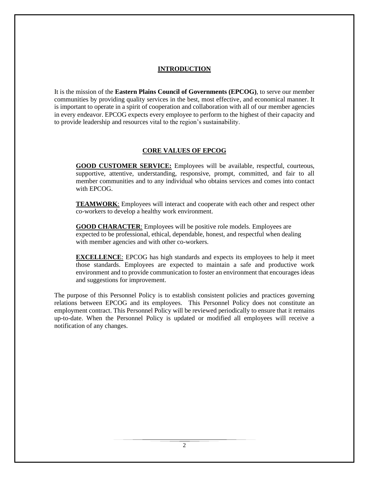#### **INTRODUCTION**

It is the mission of the **Eastern Plains Council of Governments (EPCOG)**, to serve our member communities by providing quality services in the best, most effective, and economical manner. It is important to operate in a spirit of cooperation and collaboration with all of our member agencies in every endeavor. EPCOG expects every employee to perform to the highest of their capacity and to provide leadership and resources vital to the region's sustainability.

#### **CORE VALUES OF EPCOG**

**GOOD CUSTOMER SERVICE:** Employees will be available, respectful, courteous, supportive, attentive, understanding, responsive, prompt, committed, and fair to all member communities and to any individual who obtains services and comes into contact with EPCOG.

**TEAMWORK**: Employees will interact and cooperate with each other and respect other co-workers to develop a healthy work environment.

**GOOD CHARACTER**: Employees will be positive role models. Employees are expected to be professional, ethical, dependable, honest, and respectful when dealing with member agencies and with other co-workers.

**EXCELLENCE**: EPCOG has high standards and expects its employees to help it meet those standards. Employees are expected to maintain a safe and productive work environment and to provide communication to foster an environment that encourages ideas and suggestions for improvement.

The purpose of this Personnel Policy is to establish consistent policies and practices governing relations between EPCOG and its employees. This Personnel Policy does not constitute an employment contract. This Personnel Policy will be reviewed periodically to ensure that it remains up-to-date. When the Personnel Policy is updated or modified all employees will receive a notification of any changes.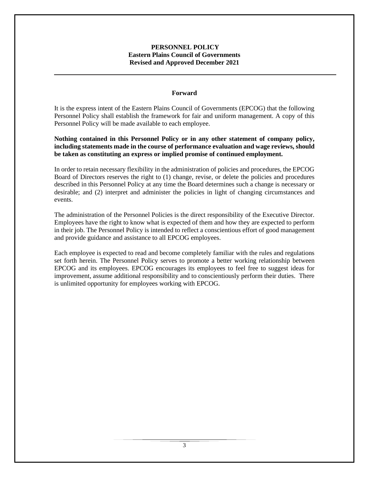#### **PERSONNEL POLICY Eastern Plains Council of Governments Revised and Approved December 2021**

#### **Forward**

It is the express intent of the Eastern Plains Council of Governments (EPCOG) that the following Personnel Policy shall establish the framework for fair and uniform management. A copy of this Personnel Policy will be made available to each employee.

**Nothing contained in this Personnel Policy or in any other statement of company policy, including statements made in the course of performance evaluation and wage reviews, should be taken as constituting an express or implied promise of continued employment.**

In order to retain necessary flexibility in the administration of policies and procedures, the EPCOG Board of Directors reserves the right to (1) change, revise, or delete the policies and procedures described in this Personnel Policy at any time the Board determines such a change is necessary or desirable; and (2) interpret and administer the policies in light of changing circumstances and events.

The administration of the Personnel Policies is the direct responsibility of the Executive Director. Employees have the right to know what is expected of them and how they are expected to perform in their job. The Personnel Policy is intended to reflect a conscientious effort of good management and provide guidance and assistance to all EPCOG employees.

Each employee is expected to read and become completely familiar with the rules and regulations set forth herein. The Personnel Policy serves to promote a better working relationship between EPCOG and its employees. EPCOG encourages its employees to feel free to suggest ideas for improvement, assume additional responsibility and to conscientiously perform their duties. There is unlimited opportunity for employees working with EPCOG.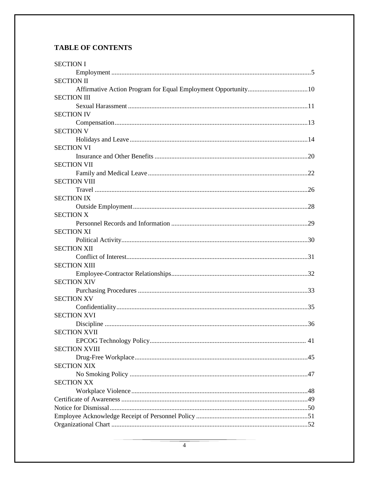# **TABLE OF CONTENTS**

| <b>SECTION I</b>     |
|----------------------|
|                      |
| <b>SECTION II</b>    |
|                      |
| <b>SECTION III</b>   |
|                      |
| <b>SECTION IV</b>    |
|                      |
| <b>SECTION V</b>     |
|                      |
| <b>SECTION VI</b>    |
|                      |
| <b>SECTION VII</b>   |
|                      |
| <b>SECTION VIII</b>  |
|                      |
| <b>SECTION IX</b>    |
|                      |
| <b>SECTION X</b>     |
|                      |
| <b>SECTION XI</b>    |
|                      |
| <b>SECTION XII</b>   |
|                      |
| <b>SECTION XIII</b>  |
|                      |
| <b>SECTION XIV</b>   |
|                      |
| <b>SECTION XV</b>    |
|                      |
| <b>SECTION XVI</b>   |
|                      |
| <b>SECTION XVII</b>  |
|                      |
| <b>SECTION XVIII</b> |
|                      |
| <b>SECTION XIX</b>   |
|                      |
| <b>SECTION XX</b>    |
|                      |
|                      |
|                      |
|                      |
|                      |
|                      |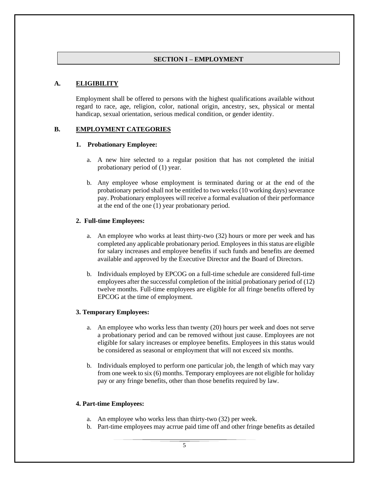#### **SECTION I – EMPLOYMENT**

#### **A. ELIGIBILITY**

Employment shall be offered to persons with the highest qualifications available without regard to race, age, religion, color, national origin, ancestry, sex, physical or mental handicap, sexual orientation, serious medical condition, or gender identity.

## **B. EMPLOYMENT CATEGORIES**

#### **1. Probationary Employee:**

- a. A new hire selected to a regular position that has not completed the initial probationary period of (1) year.
- b. Any employee whose employment is terminated during or at the end of the probationary period shall not be entitled to two weeks (10 working days) severance pay. Probationary employees will receive a formal evaluation of their performance at the end of the one (1) year probationary period.

#### **2. Full-time Employees:**

- a. An employee who works at least thirty-two (32) hours or more per week and has completed any applicable probationary period. Employees in this status are eligible for salary increases and employee benefits if such funds and benefits are deemed available and approved by the Executive Director and the Board of Directors.
- b. Individuals employed by EPCOG on a full-time schedule are considered full-time employees after the successful completion of the initial probationary period of (12) twelve months. Full-time employees are eligible for all fringe benefits offered by EPCOG at the time of employment.

#### **3. Temporary Employees:**

- a. An employee who works less than twenty (20) hours per week and does not serve a probationary period and can be removed without just cause. Employees are not eligible for salary increases or employee benefits. Employees in this status would be considered as seasonal or employment that will not exceed six months.
- b. Individuals employed to perform one particular job, the length of which may vary from one week to six (6) months. Temporary employees are not eligible for holiday pay or any fringe benefits, other than those benefits required by law.

#### **4. Part-time Employees:**

- a. An employee who works less than thirty-two (32) per week.
- b. Part-time employees may acrrue paid time off and other fringe benefits as detailed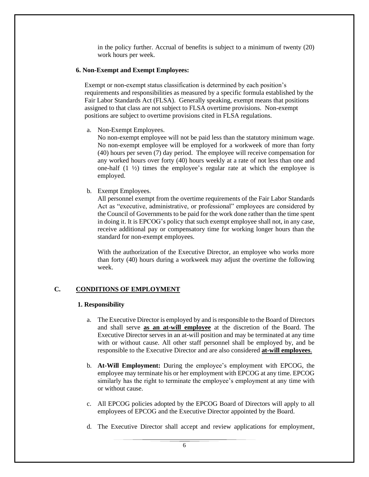in the policy further. Accrual of benefits is subject to a minimum of twenty (20) work hours per week.

#### **6. Non-Exempt and Exempt Employees:**

Exempt or non-exempt status classification is determined by each position's requirements and responsibilities as measured by a specific formula established by the Fair Labor Standards Act (FLSA). Generally speaking, exempt means that positions assigned to that class are not subject to FLSA overtime provisions. Non-exempt positions are subject to overtime provisions cited in FLSA regulations.

a. Non-Exempt Employees.

No non-exempt employee will not be paid less than the statutory minimum wage. No non-exempt employee will be employed for a workweek of more than forty (40) hours per seven (7) day period. The employee will receive compensation for any worked hours over forty (40) hours weekly at a rate of not less than one and one-half  $(1 \frac{1}{2})$  times the employee's regular rate at which the employee is employed.

b. Exempt Employees.

All personnel exempt from the overtime requirements of the Fair Labor Standards Act as "executive, administrative, or professional" employees are considered by the Council of Governments to be paid for the work done rather than the time spent in doing it. It is EPCOG's policy that such exempt employee shall not, in any case, receive additional pay or compensatory time for working longer hours than the standard for non-exempt employees.

With the authorization of the Executive Director, an employee who works more than forty (40) hours during a workweek may adjust the overtime the following week.

## **C. CONDITIONS OF EMPLOYMENT**

#### **1. Responsibility**

- a. The Executive Director is employed by and is responsible to the Board of Directors and shall serve **as an at-will employee** at the discretion of the Board. The Executive Director serves in an at-will position and may be terminated at any time with or without cause. All other staff personnel shall be employed by, and be responsible to the Executive Director and are also considered **at-will employees**.
- b. **At-Will Employment:** During the employee's employment with EPCOG, the employee may terminate his or her employment with EPCOG at any time. EPCOG similarly has the right to terminate the employee's employment at any time with or without cause.
- c. All EPCOG policies adopted by the EPCOG Board of Directors will apply to all employees of EPCOG and the Executive Director appointed by the Board.
- d. The Executive Director shall accept and review applications for employment,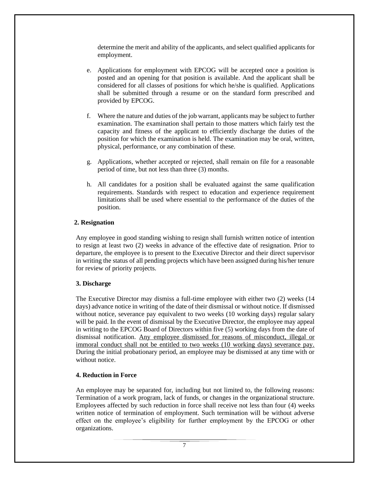determine the merit and ability of the applicants, and select qualified applicants for employment.

- e. Applications for employment with EPCOG will be accepted once a position is posted and an opening for that position is available. And the applicant shall be considered for all classes of positions for which he/she is qualified. Applications shall be submitted through a resume or on the standard form prescribed and provided by EPCOG.
- f. Where the nature and duties of the job warrant, applicants may be subject to further examination. The examination shall pertain to those matters which fairly test the capacity and fitness of the applicant to efficiently discharge the duties of the position for which the examination is held. The examination may be oral, written, physical, performance, or any combination of these.
- g. Applications, whether accepted or rejected, shall remain on file for a reasonable period of time, but not less than three (3) months.
- h. All candidates for a position shall be evaluated against the same qualification requirements. Standards with respect to education and experience requirement limitations shall be used where essential to the performance of the duties of the position.

## **2. Resignation**

Any employee in good standing wishing to resign shall furnish written notice of intention to resign at least two (2) weeks in advance of the effective date of resignation. Prior to departure, the employee is to present to the Executive Director and their direct supervisor in writing the status of all pending projects which have been assigned during his/her tenure for review of priority projects.

#### **3. Discharge**

The Executive Director may dismiss a full-time employee with either two (2) weeks (14 days) advance notice in writing of the date of their dismissal or without notice. If dismissed without notice, severance pay equivalent to two weeks (10 working days) regular salary will be paid. In the event of dismissal by the Executive Director, the employee may appeal in writing to the EPCOG Board of Directors within five (5) working days from the date of dismissal notification. Any employee dismissed for reasons of misconduct, illegal or immoral conduct shall not be entitled to two weeks (10 working days) severance pay. During the initial probationary period, an employee may be dismissed at any time with or without notice

#### **4. Reduction in Force**

An employee may be separated for, including but not limited to, the following reasons: Termination of a work program, lack of funds, or changes in the organizational structure. Employees affected by such reduction in force shall receive not less than four (4) weeks written notice of termination of employment. Such termination will be without adverse effect on the employee's eligibility for further employment by the EPCOG or other organizations.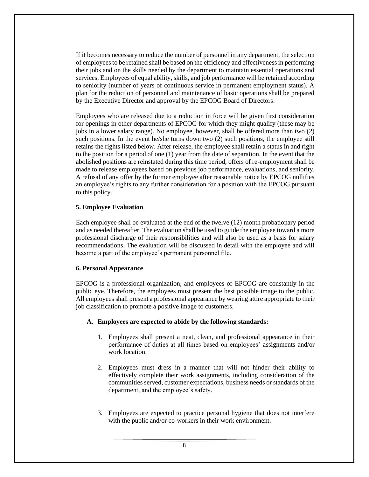If it becomes necessary to reduce the number of personnel in any department, the selection of employees to be retained shall be based on the efficiency and effectiveness in performing their jobs and on the skills needed by the department to maintain essential operations and services. Employees of equal ability, skills, and job performance will be retained according to seniority (number of years of continuous service in permanent employment status). A plan for the reduction of personnel and maintenance of basic operations shall be prepared by the Executive Director and approval by the EPCOG Board of Directors.

Employees who are released due to a reduction in force will be given first consideration for openings in other departments of EPCOG for which they might qualify (these may be jobs in a lower salary range). No employee, however, shall be offered more than two (2) such positions. In the event he/she turns down two (2) such positions, the employee still retains the rights listed below. After release, the employee shall retain a status in and right to the position for a period of one (1) year from the date of separation. In the event that the abolished positions are reinstated during this time period, offers of re-employment shall be made to release employees based on previous job performance, evaluations, and seniority. A refusal of any offer by the former employee after reasonable notice by EPCOG nullifies an employee's rights to any further consideration for a position with the EPCOG pursuant to this policy.

#### **5. Employee Evaluation**

Each employee shall be evaluated at the end of the twelve (12) month probationary period and as needed thereafter. The evaluation shall be used to guide the employee toward a more professional discharge of their responsibilities and will also be used as a basis for salary recommendations. The evaluation will be discussed in detail with the employee and will become a part of the employee's permanent personnel file.

#### **6. Personal Appearance**

EPCOG is a professional organization, and employees of EPCOG are constantly in the public eye. Therefore, the employees must present the best possible image to the public. All employees shall present a professional appearance by wearing attire appropriate to their job classification to promote a positive image to customers.

#### **A. Employees are expected to abide by the following standards:**

- 1. Employees shall present a neat, clean, and professional appearance in their performance of duties at all times based on employees' assignments and/or work location.
- 2. Employees must dress in a manner that will not hinder their ability to effectively complete their work assignments, including consideration of the communities served, customer expectations, business needs or standards of the department, and the employee's safety.
- 3. Employees are expected to practice personal hygiene that does not interfere with the public and/or co-workers in their work environment.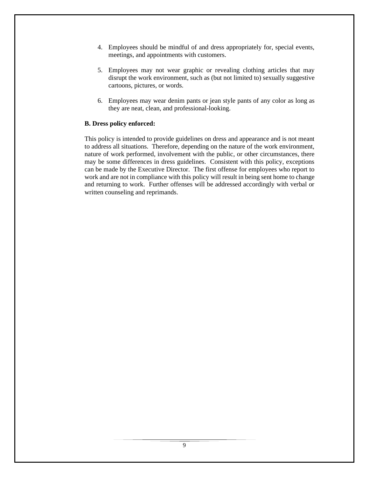- 4. Employees should be mindful of and dress appropriately for, special events, meetings, and appointments with customers.
- 5. Employees may not wear graphic or revealing clothing articles that may disrupt the work environment, such as (but not limited to) sexually suggestive cartoons, pictures, or words.
- 6. Employees may wear denim pants or jean style pants of any color as long as they are neat, clean, and professional-looking.

## **B. Dress policy enforced:**

This policy is intended to provide guidelines on dress and appearance and is not meant to address all situations. Therefore, depending on the nature of the work environment, nature of work performed, involvement with the public, or other circumstances, there may be some differences in dress guidelines. Consistent with this policy, exceptions can be made by the Executive Director. The first offense for employees who report to work and are not in compliance with this policy will result in being sent home to change and returning to work. Further offenses will be addressed accordingly with verbal or written counseling and reprimands.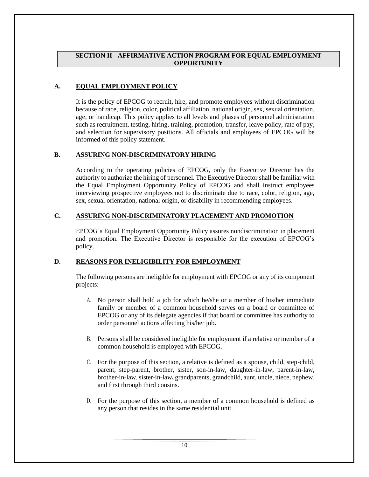#### **SECTION II - AFFIRMATIVE ACTION PROGRAM FOR EQUAL EMPLOYMENT OPPORTUNITY**

## **A. EQUAL EMPLOYMENT POLICY**

It is the policy of EPCOG to recruit, hire, and promote employees without discrimination because of race, religion, color, political affiliation, national origin, sex, sexual orientation, age, or handicap. This policy applies to all levels and phases of personnel administration such as recruitment, testing, hiring, training, promotion, transfer, leave policy, rate of pay, and selection for supervisory positions. All officials and employees of EPCOG will be informed of this policy statement.

## **B. ASSURING NON-DISCRIMINATORY HIRING**

According to the operating policies of EPCOG, only the Executive Director has the authority to authorize the hiring of personnel. The Executive Director shall be familiar with the Equal Employment Opportunity Policy of EPCOG and shall instruct employees interviewing prospective employees not to discriminate due to race, color, religion, age, sex, sexual orientation, national origin, or disability in recommending employees.

## **C. ASSURING NON-DISCRIMINATORY PLACEMENT AND PROMOTION**

EPCOG's Equal Employment Opportunity Policy assures nondiscrimination in placement and promotion. The Executive Director is responsible for the execution of EPCOG's policy.

## **D. REASONS FOR INELIGIBILITY FOR EMPLOYMENT**

The following persons are ineligible for employment with EPCOG or any of its component projects:

- A. No person shall hold a job for which he/she or a member of his/her immediate family or member of a common household serves on a board or committee of EPCOG or any of its delegate agencies if that board or committee has authority to order personnel actions affecting his/her job.
- B. Persons shall be considered ineligible for employment if a relative or member of a common household is employed with EPCOG.
- C. For the purpose of this section, a relative is defined as a spouse, child, step-child, parent, step-parent, brother, sister, son-in-law, daughter-in-law, parent-in-law, brother-in-law, sister-in-law**,** grandparents, grandchild, aunt, uncle, niece, nephew, and first through third cousins.
- D. For the purpose of this section, a member of a common household is defined as any person that resides in the same residential unit.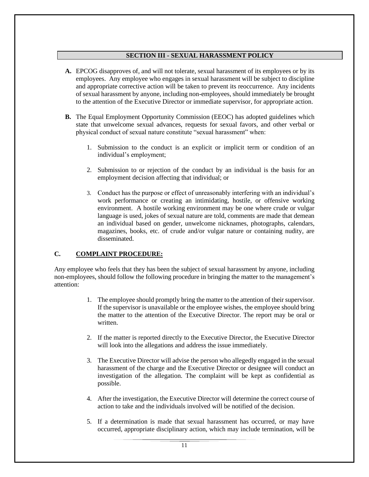## **SECTION III - SEXUAL HARASSMENT POLICY**

- **A.** EPCOG disapproves of, and will not tolerate, sexual harassment of its employees or by its employees. Any employee who engages in sexual harassment will be subject to discipline and appropriate corrective action will be taken to prevent its reoccurrence. Any incidents of sexual harassment by anyone, including non-employees, should immediately be brought to the attention of the Executive Director or immediate supervisor, for appropriate action.
- **B.** The Equal Employment Opportunity Commission (EEOC) has adopted guidelines which state that unwelcome sexual advances, requests for sexual favors, and other verbal or physical conduct of sexual nature constitute "sexual harassment" when:
	- 1. Submission to the conduct is an explicit or implicit term or condition of an individual's employment;
	- 2. Submission to or rejection of the conduct by an individual is the basis for an employment decision affecting that individual; or
	- 3. Conduct has the purpose or effect of unreasonably interfering with an individual's work performance or creating an intimidating, hostile, or offensive working environment. A hostile working environment may be one where crude or vulgar language is used, jokes of sexual nature are told, comments are made that demean an individual based on gender, unwelcome nicknames, photographs, calendars, magazines, books, etc. of crude and/or vulgar nature or containing nudity, are disseminated.

## **C. COMPLAINT PROCEDURE:**

Any employee who feels that they has been the subject of sexual harassment by anyone, including non-employees, should follow the following procedure in bringing the matter to the management's attention:

- 1. The employee should promptly bring the matter to the attention of their supervisor. If the supervisor is unavailable or the employee wishes, the employee should bring the matter to the attention of the Executive Director. The report may be oral or written.
- 2. If the matter is reported directly to the Executive Director, the Executive Director will look into the allegations and address the issue immediately.
- 3. The Executive Director will advise the person who allegedly engaged in the sexual harassment of the charge and the Executive Director or designee will conduct an investigation of the allegation. The complaint will be kept as confidential as possible.
- 4. After the investigation, the Executive Director will determine the correct course of action to take and the individuals involved will be notified of the decision.
- 5. If a determination is made that sexual harassment has occurred, or may have occurred, appropriate disciplinary action, which may include termination, will be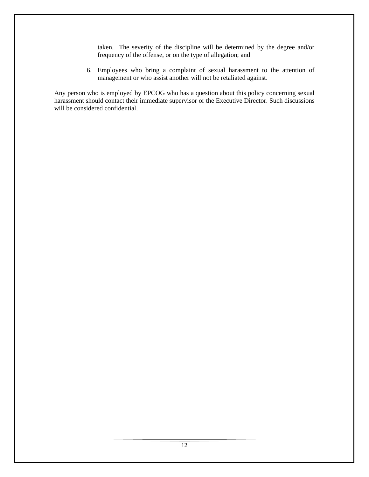taken. The severity of the discipline will be determined by the degree and/or frequency of the offense, or on the type of allegation; and

6. Employees who bring a complaint of sexual harassment to the attention of management or who assist another will not be retaliated against.

Any person who is employed by EPCOG who has a question about this policy concerning sexual harassment should contact their immediate supervisor or the Executive Director. Such discussions will be considered confidential.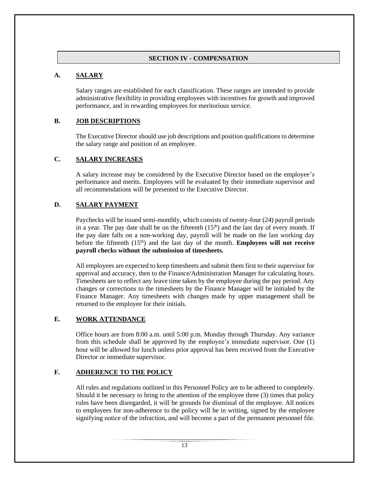## **SECTION IV - COMPENSATION**

## **A. SALARY**

Salary ranges are established for each classification. These ranges are intended to provide administrative flexibility in providing employees with incentives for growth and improved performance, and in rewarding employees for meritorious service.

## **B. JOB DESCRIPTIONS**

The Executive Director should use job descriptions and position qualifications to determine the salary range and position of an employee.

## **C. SALARY INCREASES**

A salary increase may be considered by the Executive Director based on the employee's performance and merits. Employees will be evaluated by their immediate supervisor and all recommendations will be presented to the Executive Director.

## **D. SALARY PAYMENT**

Paychecks will be issued semi-monthly, which consists of twenty-four (24) payroll periods in a year. The pay date shall be on the fifteenth  $(15<sup>th</sup>)$  and the last day of every month. If the pay date falls on a non-working day, payroll will be made on the last working day before the fifteenth  $(15<sup>th</sup>)$  and the last day of the month. **Employees will not receive payroll checks without the submission of timesheets.**

All employees are expected to keep timesheets and submit them first to their supervisor for approval and accuracy, then to the Finance/Administration Manager for calculating hours. Timesheets are to reflect any leave time taken by the employee during the pay period. Any changes or corrections to the timesheets by the Finance Manager will be initialed by the Finance Manager. Any timesheets with changes made by upper management shall be returned to the employee for their initials.

#### **E. WORK ATTENDANCE**

Office hours are from 8:00 a.m. until 5:00 p.m. Monday through Thursday. Any variance from this schedule shall be approved by the employee's immediate supervisor. One (1) hour will be allowed for lunch unless prior approval has been received from the Executive Director or immediate supervisor.

## **F. ADHERENCE TO THE POLICY**

All rules and regulations outlined in this Personnel Policy are to be adhered to completely. Should it be necessary to bring to the attention of the employee three (3) times that policy rules have been disregarded, it will be grounds for dismissal of the employee. All notices to employees for non-adherence to the policy will be in writing, signed by the employee signifying notice of the infraction, and will become a part of the permanent personnel file.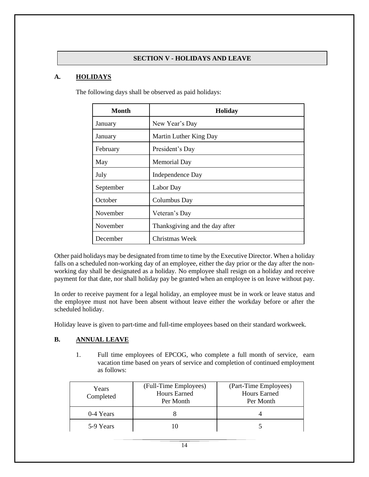# **SECTION V - HOLIDAYS AND LEAVE**

## **A. HOLIDAYS**

| Month     | <b>Holiday</b>                 |
|-----------|--------------------------------|
| January   | New Year's Day                 |
| January   | Martin Luther King Day         |
| February  | President's Day                |
| May       | Memorial Day                   |
| July      | Independence Day               |
| September | Labor Day                      |
| October   | Columbus Day                   |
| November  | Veteran's Day                  |
| November  | Thanksgiving and the day after |
| December  | Christmas Week                 |

The following days shall be observed as paid holidays:

Other paid holidays may be designated from time to time by the Executive Director. When a holiday falls on a scheduled non-working day of an employee, either the day prior or the day after the nonworking day shall be designated as a holiday. No employee shall resign on a holiday and receive payment for that date, nor shall holiday pay be granted when an employee is on leave without pay.

In order to receive payment for a legal holiday, an employee must be in work or leave status and the employee must not have been absent without leave either the workday before or after the scheduled holiday.

Holiday leave is given to part-time and full-time employees based on their standard workweek.

# **B. ANNUAL LEAVE**

1. Full time employees of EPCOG, who complete a full month of service, earn vacation time based on years of service and completion of continued employment as follows:

| Years<br>Completed | (Full-Time Employees)<br><b>Hours Earned</b><br>Per Month | (Part-Time Employees)<br><b>Hours Earned</b><br>Per Month |
|--------------------|-----------------------------------------------------------|-----------------------------------------------------------|
| 0-4 Years          |                                                           |                                                           |
| 5-9 Years          |                                                           |                                                           |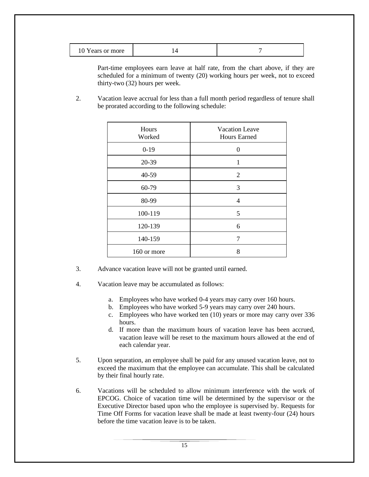| Years or more |  |
|---------------|--|
|---------------|--|

Part-time employees earn leave at half rate, from the chart above, if they are scheduled for a minimum of twenty (20) working hours per week, not to exceed thirty-two (32) hours per week.

2. Vacation leave accrual for less than a full month period regardless of tenure shall be prorated according to the following schedule:

| Hours<br>Worked | <b>Vacation Leave</b><br><b>Hours Earned</b> |
|-----------------|----------------------------------------------|
| $0-19$          | 0                                            |
| 20-39           | $\mathbf{1}$                                 |
| 40-59           | 2                                            |
| 60-79           | 3                                            |
| 80-99           | $\overline{4}$                               |
| 100-119         | 5                                            |
| 120-139         | 6                                            |
| 140-159         | 7                                            |
| 160 or more     | 8                                            |
|                 |                                              |

- 3. Advance vacation leave will not be granted until earned.
- 4. Vacation leave may be accumulated as follows:
	- a. Employees who have worked 0-4 years may carry over 160 hours.
	- b. Employees who have worked 5-9 years may carry over 240 hours.
	- c. Employees who have worked ten (10) years or more may carry over 336 hours.
	- d. If more than the maximum hours of vacation leave has been accrued, vacation leave will be reset to the maximum hours allowed at the end of each calendar year.
- 5. Upon separation, an employee shall be paid for any unused vacation leave, not to exceed the maximum that the employee can accumulate. This shall be calculated by their final hourly rate.
- 6. Vacations will be scheduled to allow minimum interference with the work of EPCOG. Choice of vacation time will be determined by the supervisor or the Executive Director based upon who the employee is supervised by. Requests for Time Off Forms for vacation leave shall be made at least twenty-four (24) hours before the time vacation leave is to be taken.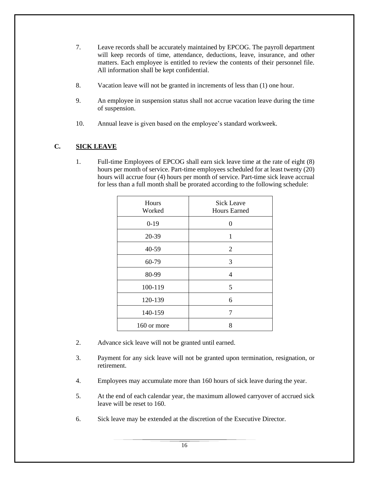- 7. Leave records shall be accurately maintained by EPCOG. The payroll department will keep records of time, attendance, deductions, leave, insurance, and other matters. Each employee is entitled to review the contents of their personnel file. All information shall be kept confidential.
- 8. Vacation leave will not be granted in increments of less than (1) one hour.
- 9. An employee in suspension status shall not accrue vacation leave during the time of suspension.
- 10. Annual leave is given based on the employee's standard workweek.

# **C. SICK LEAVE**

1. Full-time Employees of EPCOG shall earn sick leave time at the rate of eight (8) hours per month of service. Part-time employees scheduled for at least twenty (20) hours will accrue four (4) hours per month of service. Part-time sick leave accrual for less than a full month shall be prorated according to the following schedule:

| Hours<br>Worked | <b>Sick Leave</b><br><b>Hours Earned</b> |
|-----------------|------------------------------------------|
| $0-19$          | 0                                        |
| 20-39           | 1                                        |
| 40-59           | $\overline{2}$                           |
| 60-79           | 3                                        |
| 80-99           | 4                                        |
| 100-119         | 5                                        |
| 120-139         | 6                                        |
| 140-159         | 7                                        |
| 160 or more     | 8                                        |

- 2. Advance sick leave will not be granted until earned.
- 3. Payment for any sick leave will not be granted upon termination, resignation, or retirement.
- 4. Employees may accumulate more than 160 hours of sick leave during the year.
- 5. At the end of each calendar year, the maximum allowed carryover of accrued sick leave will be reset to 160.
- 6. Sick leave may be extended at the discretion of the Executive Director.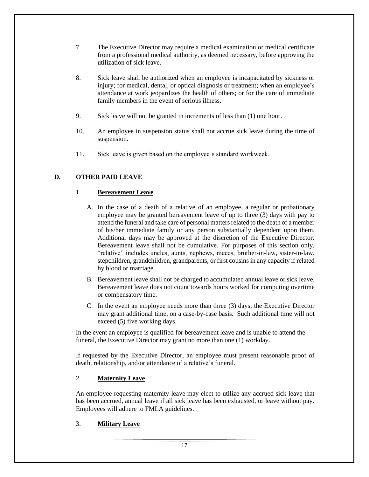- 7. The Executive Director may require a medical examination or medical certificate from a professional medical authority, as deemed necessary, before approving the utilization of sick leave.
- 8. Sick leave shall be authorized when an employee is incapacitated by sickness or injury; for medical, dental, or optical diagnosis or treatment; when an employee's attendance at work jeopardizes the health of others; or for the care of immediate family members in the event of serious illness.
- 9. Sick leave will not be granted in increments of less than (1) one hour.
- 10. An employee in suspension status shall not accrue sick leave during the time of suspension.
- 11. Sick leave is given based on the employee's standard workweek.

# **D. OTHER PAID LEAVE**

# 1. **Bereavement Leave**

- A. In the case of a death of a relative of an employee, a regular or probationary employee may be granted bereavement leave of up to three (3) days with pay to attend the funeral and take care of personal matters related to the death of a member of his/her immediate family or any person substantially dependent upon them. Additional days may be approved at the discretion of the Executive Director. Bereavement leave shall not be cumulative. For purposes of this section only, "relative" includes uncles, aunts, nephews, nieces, brother-in-law, sister-in-law, stepchildren, grandchildren, grandparents, or first cousins in any capacity if related by blood or marriage.
- B. Bereavement leave shall not be charged to accumulated annual leave or sick leave. Bereavement leave does not count towards hours worked for computing overtime or compensatory time.
- C. In the event an employee needs more than three (3) days, the Executive Director may grant additional time, on a case-by-case basis. Such additional time will not exceed (5) five working days.

 In the event an employee is qualified for bereavement leave and is unable to attend the funeral, the Executive Director may grant no more than one (1) workday.

If requested by the Executive Director, an employee must present reasonable proof of death, relationship, and/or attendance of a relative's funeral.

## 2. **Maternity Leave**

An employee requesting maternity leave may elect to utilize any accrued sick leave that has been accrued, annual leave if all sick leave has been exhausted, or leave without pay. Employees will adhere to FMLA guidelines.

## 3. **Military Leave**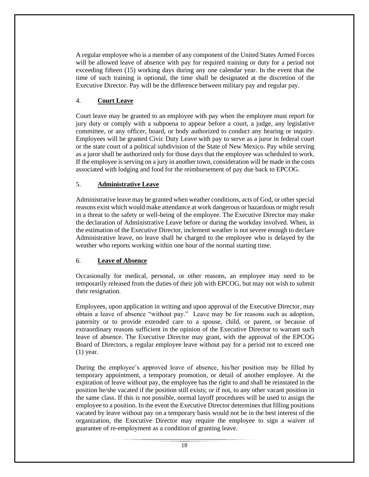A regular employee who is a member of any component of the United States Armed Forces will be allowed leave of absence with pay for required training or duty for a period not exceeding fifteen (15) working days during any one calendar year. In the event that the time of such training is optional, the time shall be designated at the discretion of the Executive Director. Pay will be the difference between military pay and regular pay.

## 4. **Court Leave**

Court leave may be granted to an employee with pay when the employee must report for jury duty or comply with a subpoena to appear before a court, a judge, any legislative committee, or any officer, board, or body authorized to conduct any hearing or inquiry. Employees will be granted Civic Duty Leave with pay to serve as a juror in federal court or the state court of a political subdivision of the State of New Mexico. Pay while serving as a juror shall be authorized only for those days that the employee was scheduled to work. If the employee is serving on a jury in another town, consideration will be made in the costs associated with lodging and food for the reimbursement of pay due back to EPCOG.

# 5. **Administrative Leave**

Administrative leave may be granted when weather conditions, acts of God, or other special reasons exist which would make attendance at work dangerous or hazardous or might result in a threat to the safety or well-being of the employee. The Executive Director may make the declaration of Administrative Leave before or during the workday involved. When, in the estimation of the Executive Director, inclement weather is not severe enough to declare Administrative leave, no leave shall be charged to the employee who is delayed by the weather who reports working within one hour of the normal starting time.

## 6. **Leave of Absence**

Occasionally for medical, personal, or other reasons, an employee may need to be temporarily released from the duties of their job with EPCOG, but may not wish to submit their resignation.

Employees, upon application in writing and upon approval of the Executive Director, may obtain a leave of absence "without pay." Leave may be for reasons such as adoption, paternity or to provide extended care to a spouse, child, or parent, or because of extraordinary reasons sufficient in the opinion of the Executive Director to warrant such leave of absence. The Executive Director may grant, with the approval of the EPCOG Board of Directors, a regular employee leave without pay for a period not to exceed one (1) year.

During the employee's approved leave of absence, his/her position may be filled by temporary appointment, a temporary promotion, or detail of another employee. At the expiration of leave without pay, the employee has the right to and shall be reinstated in the position he/she vacated if the position still exists; or if not, to any other vacant position in the same class. If this is not possible, normal layoff procedures will be used to assign the employee to a position. In the event the Executive Director determines that filling positions vacated by leave without pay on a temporary basis would not be in the best interest of the organization, the Executive Director may require the employee to sign a waiver of guarantee of re-employment as a condition of granting leave.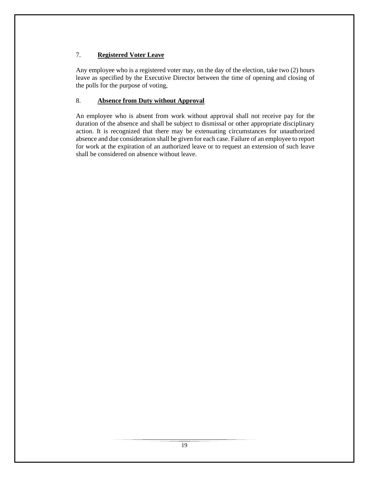# 7. **Registered Voter Leave**

Any employee who is a registered voter may, on the day of the election, take two (2) hours leave as specified by the Executive Director between the time of opening and closing of the polls for the purpose of voting,

# 8. **Absence from Duty without Approval**

An employee who is absent from work without approval shall not receive pay for the duration of the absence and shall be subject to dismissal or other appropriate disciplinary action. It is recognized that there may be extenuating circumstances for unauthorized absence and due consideration shall be given for each case. Failure of an employee to report for work at the expiration of an authorized leave or to request an extension of such leave shall be considered on absence without leave.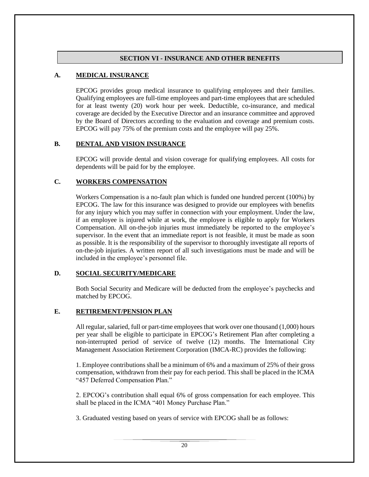## **SECTION VI - INSURANCE AND OTHER BENEFITS**

## **A. MEDICAL INSURANCE**

EPCOG provides group medical insurance to qualifying employees and their families. Qualifying employees are full-time employees and part-time employees that are scheduled for at least twenty (20) work hour per week. Deductible, co-insurance, and medical coverage are decided by the Executive Director and an insurance committee and approved by the Board of Directors according to the evaluation and coverage and premium costs. EPCOG will pay 75% of the premium costs and the employee will pay 25%.

## **B. DENTAL AND VISION INSURANCE**

EPCOG will provide dental and vision coverage for qualifying employees. All costs for dependents will be paid for by the employee.

## **C. WORKERS COMPENSATION**

Workers Compensation is a no-fault plan which is funded one hundred percent (100%) by EPCOG. The law for this insurance was designed to provide our employees with benefits for any injury which you may suffer in connection with your employment. Under the law, if an employee is injured while at work, the employee is eligible to apply for Workers Compensation. All on-the-job injuries must immediately be reported to the employee's supervisor. In the event that an immediate report is not feasible, it must be made as soon as possible. It is the responsibility of the supervisor to thoroughly investigate all reports of on-the-job injuries. A written report of all such investigations must be made and will be included in the employee's personnel file.

## **D. SOCIAL SECURITY/MEDICARE**

Both Social Security and Medicare will be deducted from the employee's paychecks and matched by EPCOG.

## **E. RETIREMENT/PENSION PLAN**

All regular, salaried, full or part-time employees that work over one thousand (1,000) hours per year shall be eligible to participate in EPCOG's Retirement Plan after completing a non-interrupted period of service of twelve (12) months. The International City Management Association Retirement Corporation (IMCA-RC) provides the following:

1. Employee contributions shall be a minimum of 6% and a maximum of 25% of their gross compensation, withdrawn from their pay for each period. This shall be placed in the ICMA "457 Deferred Compensation Plan."

2. EPCOG's contribution shall equal 6% of gross compensation for each employee. This shall be placed in the ICMA "401 Money Purchase Plan."

3. Graduated vesting based on years of service with EPCOG shall be as follows: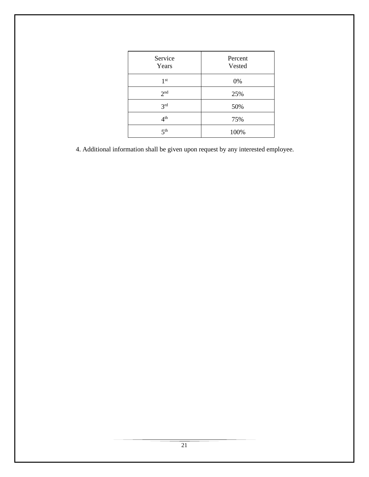| Service<br>Years | Percent<br>Vested |
|------------------|-------------------|
| 1 <sup>st</sup>  | 0%                |
| 2 <sup>nd</sup>  | 25%               |
| 3 <sup>rd</sup>  | 50%               |
| 4 <sup>th</sup>  | 75%               |
| 5 <sup>th</sup>  | 100%              |

4. Additional information shall be given upon request by any interested employee.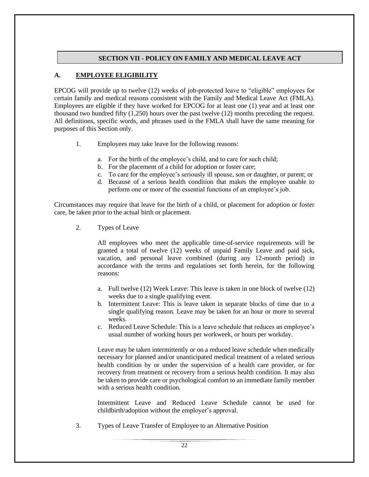## **SECTION VII - POLICY ON FAMILY AND MEDICAL LEAVE ACT**

# **A. EMPLOYEE ELIGIBILITY**

EPCOG will provide up to twelve (12) weeks of job-protected leave to "eligible" employees for certain family and medical reasons consistent with the Family and Medical Leave Act (FMLA). Employees are eligible if they have worked for EPCOG for at least one (1) year and at least one thousand two hundred fifty (1,250) hours over the past twelve (12) months preceding the request. All definitions, specific words, and phrases used in the FMLA shall have the same meaning for purposes of this Section only.

- 1. Employees may take leave for the following reasons:
	- a. For the birth of the employee's child, and to care for such child;
	- b. For the placement of a child for adoption or foster care;
	- c. To care for the employee's seriously ill spouse, son or daughter, or parent; or
	- d. Because of a serious health condition that makes the employee unable to perform one or more of the essential functions of an employee's job.

Circumstances may require that leave for the birth of a child, or placement for adoption or foster care, be taken prior to the actual birth or placement.

2. Types of Leave

All employees who meet the applicable time-of-service requirements will be granted a total of twelve (12) weeks of unpaid Family Leave and paid sick, vacation, and personal leave combined (during any 12-month period) in accordance with the terms and regulations set forth herein, for the following reasons:

- a. Full twelve (12) Week Leave: This leave is taken in one block of twelve (12) weeks due to a single qualifying event.
- b. Intermittent Leave: This is leave taken in separate blocks of time due to a single qualifying reason. Leave may be taken for an hour or more to several weeks.
- c. Reduced Leave Schedule: This is a leave schedule that reduces an employee's usual number of working hours per workweek, or hours per workday.

Leave may be taken intermittently or on a reduced leave schedule when medically necessary for planned and/or unanticipated medical treatment of a related serious health condition by or under the supervision of a health care provider, or for recovery from treatment or recovery from a serious health condition. It may also be taken to provide care or psychological comfort to an immediate family member with a serious health condition.

Intermittent Leave and Reduced Leave Schedule cannot be used for childbirth/adoption without the employer's approval.

3. Types of Leave Transfer of Employee to an Alternative Position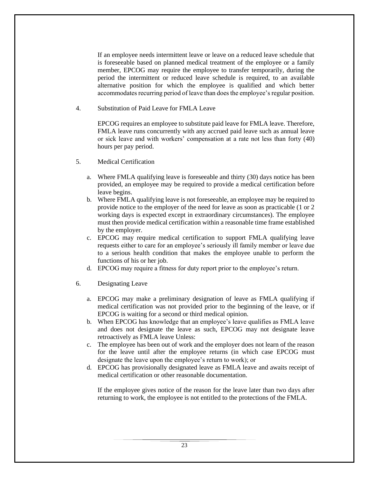If an employee needs intermittent leave or leave on a reduced leave schedule that is foreseeable based on planned medical treatment of the employee or a family member, EPCOG may require the employee to transfer temporarily, during the period the intermittent or reduced leave schedule is required, to an available alternative position for which the employee is qualified and which better accommodates recurring period of leave than does the employee's regular position.

4. Substitution of Paid Leave for FMLA Leave

EPCOG requires an employee to substitute paid leave for FMLA leave. Therefore, FMLA leave runs concurrently with any accrued paid leave such as annual leave or sick leave and with workers' compensation at a rate not less than forty (40) hours per pay period.

- 5. Medical Certification
	- a. Where FMLA qualifying leave is foreseeable and thirty (30) days notice has been provided, an employee may be required to provide a medical certification before leave begins.
	- b. Where FMLA qualifying leave is not foreseeable, an employee may be required to provide notice to the employer of the need for leave as soon as practicable (1 or 2 working days is expected except in extraordinary circumstances). The employee must then provide medical certification within a reasonable time frame established by the employer.
	- c. EPCOG may require medical certification to support FMLA qualifying leave requests either to care for an employee's seriously ill family member or leave due to a serious health condition that makes the employee unable to perform the functions of his or her job.
	- d. EPCOG may require a fitness for duty report prior to the employee's return.
- 6. Designating Leave
	- a. EPCOG may make a preliminary designation of leave as FMLA qualifying if medical certification was not provided prior to the beginning of the leave, or if EPCOG is waiting for a second or third medical opinion.
	- b. When EPCOG has knowledge that an employee's leave qualifies as FMLA leave and does not designate the leave as such, EPCOG may not designate leave retroactively as FMLA leave Unless:
	- c. The employee has been out of work and the employer does not learn of the reason for the leave until after the employee returns (in which case EPCOG must designate the leave upon the employee's return to work); or
	- d. EPCOG has provisionally designated leave as FMLA leave and awaits receipt of medical certification or other reasonable documentation.

If the employee gives notice of the reason for the leave later than two days after returning to work, the employee is not entitled to the protections of the FMLA.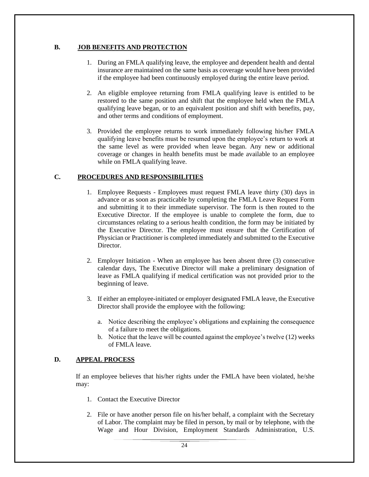## **B. JOB BENEFITS AND PROTECTION**

- 1. During an FMLA qualifying leave, the employee and dependent health and dental insurance are maintained on the same basis as coverage would have been provided if the employee had been continuously employed during the entire leave period.
- 2. An eligible employee returning from FMLA qualifying leave is entitled to be restored to the same position and shift that the employee held when the FMLA qualifying leave began, or to an equivalent position and shift with benefits, pay, and other terms and conditions of employment.
- 3. Provided the employee returns to work immediately following his/her FMLA qualifying leave benefits must be resumed upon the employee's return to work at the same level as were provided when leave began. Any new or additional coverage or changes in health benefits must be made available to an employee while on FMLA qualifying leave.

# **C. PROCEDURES AND RESPONSIBILITIES**

- 1. Employee Requests Employees must request FMLA leave thirty (30) days in advance or as soon as practicable by completing the FMLA Leave Request Form and submitting it to their immediate supervisor. The form is then routed to the Executive Director. If the employee is unable to complete the form, due to circumstances relating to a serious health condition, the form may be initiated by the Executive Director. The employee must ensure that the Certification of Physician or Practitioner is completed immediately and submitted to the Executive Director.
- 2. Employer Initiation When an employee has been absent three (3) consecutive calendar days, The Executive Director will make a preliminary designation of leave as FMLA qualifying if medical certification was not provided prior to the beginning of leave.
- 3. If either an employee-initiated or employer designated FMLA leave, the Executive Director shall provide the employee with the following:
	- a. Notice describing the employee's obligations and explaining the consequence of a failure to meet the obligations.
	- b. Notice that the leave will be counted against the employee's twelve (12) weeks of FMLA leave.

# **D. APPEAL PROCESS**

If an employee believes that his/her rights under the FMLA have been violated, he/she may:

- 1. Contact the Executive Director
- 2. File or have another person file on his/her behalf, a complaint with the Secretary of Labor. The complaint may be filed in person, by mail or by telephone, with the Wage and Hour Division, Employment Standards Administration, U.S.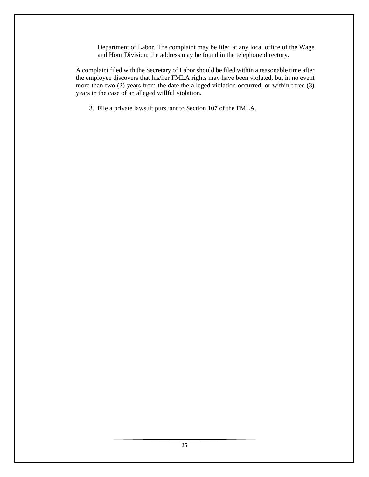Department of Labor. The complaint may be filed at any local office of the Wage and Hour Division; the address may be found in the telephone directory.

A complaint filed with the Secretary of Labor should be filed within a reasonable time after the employee discovers that his/her FMLA rights may have been violated, but in no event more than two (2) years from the date the alleged violation occurred, or within three (3) years in the case of an alleged willful violation.

3. File a private lawsuit pursuant to Section 107 of the FMLA.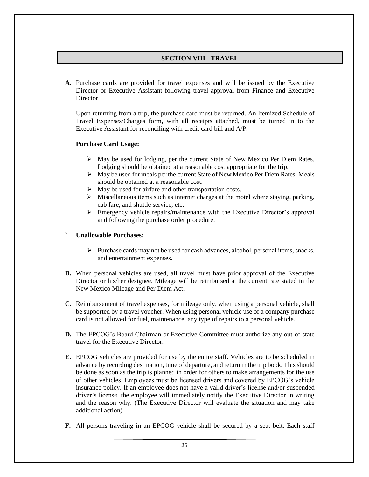## **SECTION VIII - TRAVEL**

**A.** Purchase cards are provided for travel expenses and will be issued by the Executive Director or Executive Assistant following travel approval from Finance and Executive Director.

Upon returning from a trip, the purchase card must be returned. An Itemized Schedule of Travel Expenses/Charges form, with all receipts attached, must be turned in to the Executive Assistant for reconciling with credit card bill and A/P.

#### **Purchase Card Usage:**

- ➢ May be used for lodging, per the current State of New Mexico Per Diem Rates. Lodging should be obtained at a reasonable cost appropriate for the trip.
- $\triangleright$  May be used for meals per the current State of New Mexico Per Diem Rates. Meals should be obtained at a reasonable cost.
- ➢ May be used for airfare and other transportation costs.
- $\triangleright$  Miscellaneous items such as internet charges at the motel where staying, parking, cab fare, and shuttle service, etc.
- ➢ Emergency vehicle repairs/maintenance with the Executive Director's approval and following the purchase order procedure.

## ` **Unallowable Purchases:**

- $\triangleright$  Purchase cards may not be used for cash advances, alcohol, personal items, snacks, and entertainment expenses.
- **B.** When personal vehicles are used, all travel must have prior approval of the Executive Director or his/her designee. Mileage will be reimbursed at the current rate stated in the New Mexico Mileage and Per Diem Act.
- **C.** Reimbursement of travel expenses, for mileage only, when using a personal vehicle, shall be supported by a travel voucher. When using personal vehicle use of a company purchase card is not allowed for fuel, maintenance, any type of repairs to a personal vehicle.
- **D.** The EPCOG's Board Chairman or Executive Committee must authorize any out-of-state travel for the Executive Director.
- **E.** EPCOG vehicles are provided for use by the entire staff. Vehicles are to be scheduled in advance by recording destination, time of departure, and return in the trip book. This should be done as soon as the trip is planned in order for others to make arrangements for the use of other vehicles. Employees must be licensed drivers and covered by EPCOG's vehicle insurance policy. If an employee does not have a valid driver's license and/or suspended driver's license, the employee will immediately notify the Executive Director in writing and the reason why. (The Executive Director will evaluate the situation and may take additional action)
- **F.** All persons traveling in an EPCOG vehicle shall be secured by a seat belt. Each staff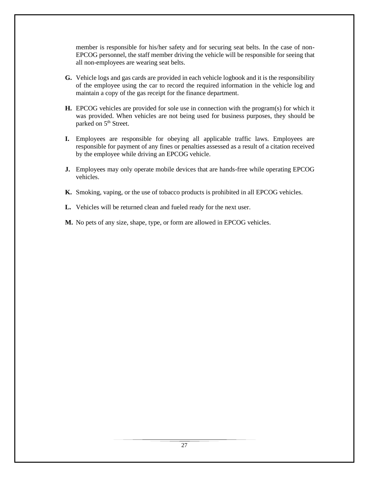member is responsible for his/her safety and for securing seat belts. In the case of non-EPCOG personnel, the staff member driving the vehicle will be responsible for seeing that all non-employees are wearing seat belts.

- **G.** Vehicle logs and gas cards are provided in each vehicle logbook and it is the responsibility of the employee using the car to record the required information in the vehicle log and maintain a copy of the gas receipt for the finance department.
- **H.** EPCOG vehicles are provided for sole use in connection with the program(s) for which it was provided. When vehicles are not being used for business purposes, they should be parked on 5<sup>th</sup> Street.
- **I.** Employees are responsible for obeying all applicable traffic laws. Employees are responsible for payment of any fines or penalties assessed as a result of a citation received by the employee while driving an EPCOG vehicle.
- **J.** Employees may only operate mobile devices that are hands-free while operating EPCOG vehicles.
- **K.** Smoking, vaping, or the use of tobacco products is prohibited in all EPCOG vehicles.
- **L.** Vehicles will be returned clean and fueled ready for the next user.
- **M.** No pets of any size, shape, type, or form are allowed in EPCOG vehicles.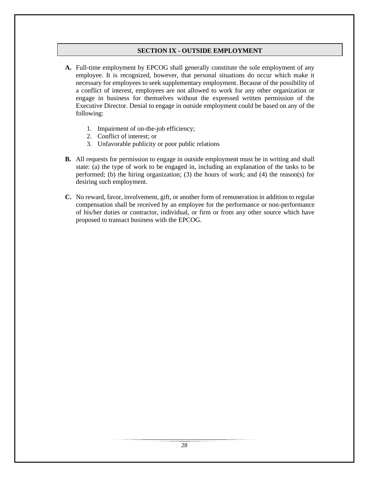## **SECTION IX - OUTSIDE EMPLOYMENT**

- **A.** Full-time employment by EPCOG shall generally constitute the sole employment of any employee. It is recognized, however, that personal situations do occur which make it necessary for employees to seek supplementary employment. Because of the possibility of a conflict of interest, employees are not allowed to work for any other organization or engage in business for themselves without the expressed written permission of the Executive Director. Denial to engage in outside employment could be based on any of the following:
	- 1. Impairment of on-the-job efficiency;
	- 2. Conflict of interest; or
	- 3. Unfavorable publicity or poor public relations
- **B.** All requests for permission to engage in outside employment must be in writing and shall state: (a) the type of work to be engaged in, including an explanation of the tasks to be performed; (b) the hiring organization; (3) the hours of work; and (4) the reason(s) for desiring such employment.
- **C.** No reward, favor, involvement, gift, or another form of remuneration in addition to regular compensation shall be received by an employee for the performance or non-performance of his/her duties or contractor, individual, or firm or from any other source which have proposed to transact business with the EPCOG.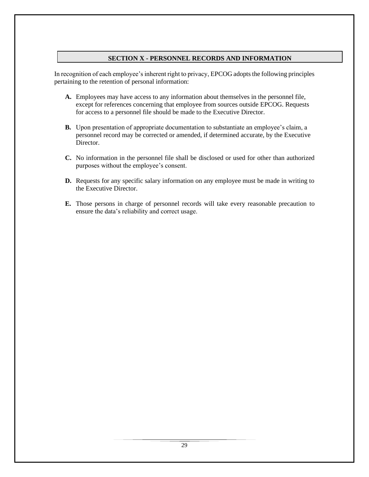## **SECTION X - PERSONNEL RECORDS AND INFORMATION**

In recognition of each employee's inherent right to privacy, EPCOG adopts the following principles pertaining to the retention of personal information:

- **A.** Employees may have access to any information about themselves in the personnel file, except for references concerning that employee from sources outside EPCOG. Requests for access to a personnel file should be made to the Executive Director.
- **B.** Upon presentation of appropriate documentation to substantiate an employee's claim, a personnel record may be corrected or amended, if determined accurate, by the Executive Director.
- **C.** No information in the personnel file shall be disclosed or used for other than authorized purposes without the employee's consent.
- **D.** Requests for any specific salary information on any employee must be made in writing to the Executive Director.
- **E.** Those persons in charge of personnel records will take every reasonable precaution to ensure the data's reliability and correct usage.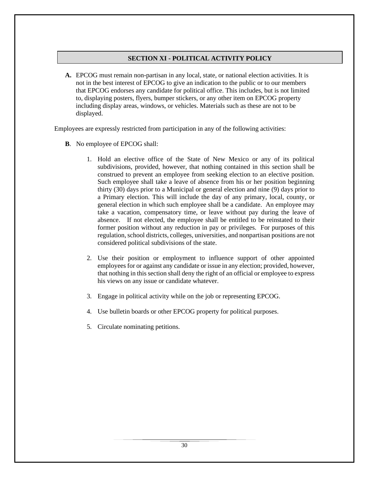## **SECTION XI - POLITICAL ACTIVITY POLICY**

**A.** EPCOG must remain non-partisan in any local, state, or national election activities. It is not in the best interest of EPCOG to give an indication to the public or to our members that EPCOG endorses any candidate for political office. This includes, but is not limited to, displaying posters, flyers, bumper stickers, or any other item on EPCOG property including display areas, windows, or vehicles. Materials such as these are not to be displayed.

Employees are expressly restricted from participation in any of the following activities:

- **B**. No employee of EPCOG shall:
	- 1. Hold an elective office of the State of New Mexico or any of its political subdivisions, provided, however, that nothing contained in this section shall be construed to prevent an employee from seeking election to an elective position. Such employee shall take a leave of absence from his or her position beginning thirty (30) days prior to a Municipal or general election and nine (9) days prior to a Primary election. This will include the day of any primary, local, county, or general election in which such employee shall be a candidate. An employee may take a vacation, compensatory time, or leave without pay during the leave of absence. If not elected, the employee shall be entitled to be reinstated to their former position without any reduction in pay or privileges. For purposes of this regulation, school districts, colleges, universities, and nonpartisan positions are not considered political subdivisions of the state.
	- 2. Use their position or employment to influence support of other appointed employees for or against any candidate or issue in any election; provided, however, that nothing in this section shall deny the right of an official or employee to express his views on any issue or candidate whatever.
	- 3. Engage in political activity while on the job or representing EPCOG.
	- 4. Use bulletin boards or other EPCOG property for political purposes.
	- 5. Circulate nominating petitions.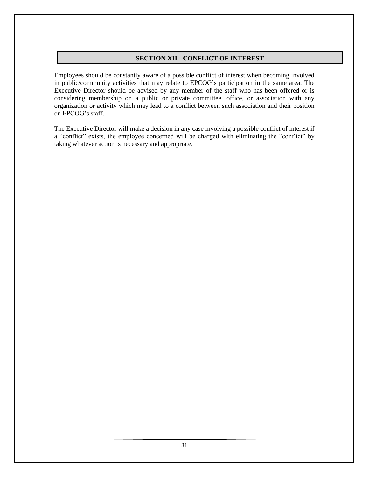## **SECTION XII - CONFLICT OF INTEREST**

Employees should be constantly aware of a possible conflict of interest when becoming involved in public/community activities that may relate to EPCOG's participation in the same area. The Executive Director should be advised by any member of the staff who has been offered or is considering membership on a public or private committee, office, or association with any organization or activity which may lead to a conflict between such association and their position on EPCOG's staff.

The Executive Director will make a decision in any case involving a possible conflict of interest if a "conflict" exists, the employee concerned will be charged with eliminating the "conflict" by taking whatever action is necessary and appropriate.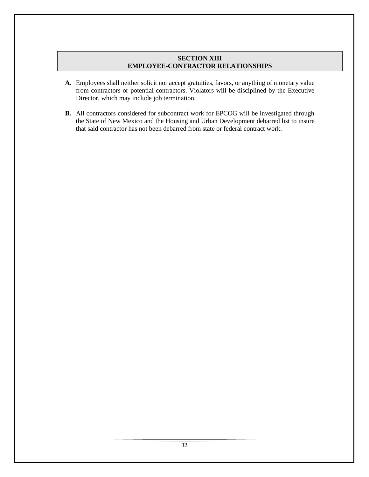## **SECTION XIII EMPLOYEE-CONTRACTOR RELATIONSHIPS**

- **A.** Employees shall neither solicit nor accept gratuities, favors, or anything of monetary value from contractors or potential contractors. Violators will be disciplined by the Executive Director, which may include job termination.
- **B.** All contractors considered for subcontract work for EPCOG will be investigated through the State of New Mexico and the Housing and Urban Development debarred list to insure that said contractor has not been debarred from state or federal contract work.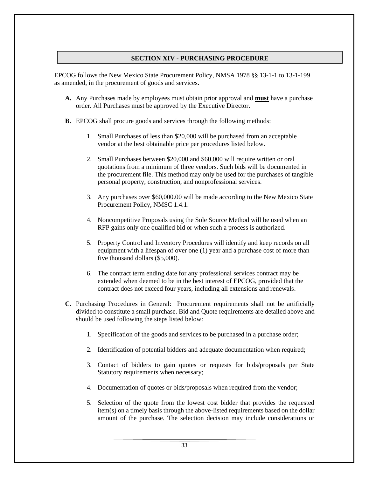## **SECTION XIV - PURCHASING PROCEDURE**

EPCOG follows the New Mexico State Procurement Policy, NMSA 1978 §§ 13-1-1 to 13-1-199 as amended, in the procurement of goods and services.

- **A.** Any Purchases made by employees must obtain prior approval and **must** have a purchase order. All Purchases must be approved by the Executive Director.
- **B.** EPCOG shall procure goods and services through the following methods:
	- 1. Small Purchases of less than \$20,000 will be purchased from an acceptable vendor at the best obtainable price per procedures listed below.
	- 2. Small Purchases between \$20,000 and \$60,000 will require written or oral quotations from a minimum of three vendors. Such bids will be documented in the procurement file. This method may only be used for the purchases of tangible personal property, construction, and nonprofessional services.
	- 3. Any purchases over \$60,000.00 will be made according to the New Mexico State Procurement Policy, NMSC 1.4.1.
	- 4. Noncompetitive Proposals using the Sole Source Method will be used when an RFP gains only one qualified bid or when such a process is authorized.
	- 5. Property Control and Inventory Procedures will identify and keep records on all equipment with a lifespan of over one (1) year and a purchase cost of more than five thousand dollars (\$5,000).
	- 6. The contract term ending date for any professional services contract may be extended when deemed to be in the best interest of EPCOG, provided that the contract does not exceed four years, including all extensions and renewals.
- **C.** Purchasing Procedures in General: Procurement requirements shall not be artificially divided to constitute a small purchase. Bid and Quote requirements are detailed above and should be used following the steps listed below:
	- 1. Specification of the goods and services to be purchased in a purchase order;
	- 2. Identification of potential bidders and adequate documentation when required;
	- 3. Contact of bidders to gain quotes or requests for bids/proposals per State Statutory requirements when necessary;
	- 4. Documentation of quotes or bids/proposals when required from the vendor;
	- 5. Selection of the quote from the lowest cost bidder that provides the requested item(s) on a timely basis through the above-listed requirements based on the dollar amount of the purchase. The selection decision may include considerations or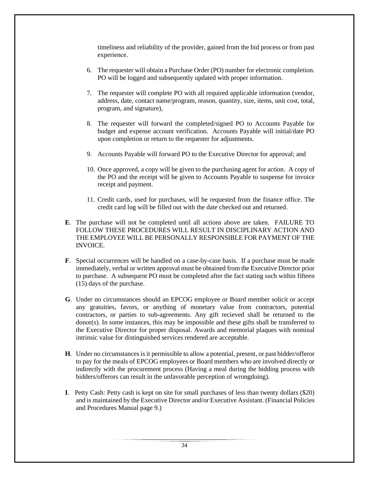timeliness and reliability of the provider, gained from the bid process or from past experience.

- 6. The requester will obtain a Purchase Order (PO) number for electronic completion. PO will be logged and subsequently updated with proper information.
- 7. The requester will complete PO with all required applicable information (vendor, address, date, contact name/program, reason, quantity, size, items, unit cost, total, program, and signature),
- 8. The requester will forward the completed/signed PO to Accounts Payable for budget and expense account verification. Accounts Payable will initial/date PO upon completion or return to the requester for adjustments.
- 9. Accounts Payable will forward PO to the Executive Director for approval; and
- 10. Once approved, a copy will be given to the purchasing agent for action. A copy of the PO and the receipt will be given to Accounts Payable to suspense for invoice receipt and payment.
- 11. Credit cards, used for purchases, will be requested from the finance office. The credit card log will be filled out with the date checked out and returned.
- **E**. The purchase will not be completed until all actions above are taken. FAILURE TO FOLLOW THESE PROCEDURES WILL RESULT IN DISCIPLINARY ACTION AND THE EMPLOYEE WILL BE PERSONALLY RESPONSIBLE FOR PAYMENT OF THE INVOICE.
- **F**. Special occurrences will be handled on a case-by-case basis. If a purchase must be made immediately, verbal or written approval must be obtained from the Executive Director prior to purchase. A subsequent PO must be completed after the fact stating such within fifteen (15) days of the purchase.
- **G**. Under no circumstances should an EPCOG employee or Board member solicit or accept any gratuities, favors, or anything of monetary value from contractors, potential contractors, or parties to sub-agreements. Any gift recieved shall be returned to the donor(s). In some instances, this may be impossible and these gifts shall be transferred to the Executive Director for proper disposal. Awards and memorial plaques with nominal intrinsic value for distinguished services rendered are acceptable.
- **H**. Under no circumstances is it permissible to allow a potential, present, or past bidder/offeror to pay for the meals of EPCOG employees or Board members who are involved directly or indirectly with the procurement process (Having a meal during the bidding process with bidders/offerors can result in the unfavorable perception of wrongdoing).
- **I**. Petty Cash: Petty cash is kept on site for small purchases of less than twenty dollars (\$20) and is maintained by the Executive Director and/or Executive Assistant. (Financial Policies and Procedures Manual page 9.)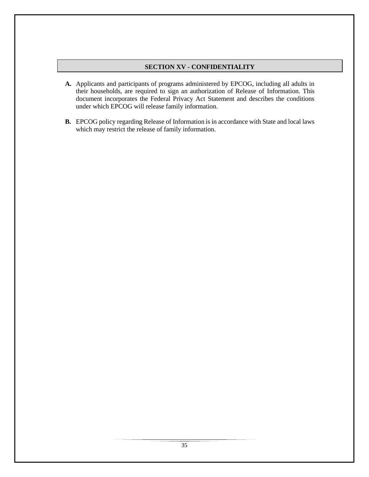## **SECTION XV - CONFIDENTIALITY**

- **A.** Applicants and participants of programs administered by EPCOG, including all adults in their households, are required to sign an authorization of Release of Information. This document incorporates the Federal Privacy Act Statement and describes the conditions under which EPCOG will release family information.
- **B.** EPCOG policy regarding Release of Information is in accordance with State and local laws which may restrict the release of family information.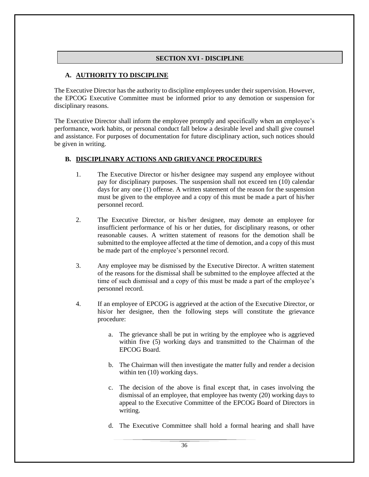## **SECTION XVI - DISCIPLINE**

## **A. AUTHORITY TO DISCIPLINE**

The Executive Director has the authority to discipline employees under their supervision. However, the EPCOG Executive Committee must be informed prior to any demotion or suspension for disciplinary reasons.

The Executive Director shall inform the employee promptly and specifically when an employee's performance, work habits, or personal conduct fall below a desirable level and shall give counsel and assistance. For purposes of documentation for future disciplinary action, such notices should be given in writing.

## **B. DISCIPLINARY ACTIONS AND GRIEVANCE PROCEDURES**

- 1. The Executive Director or his/her designee may suspend any employee without pay for disciplinary purposes. The suspension shall not exceed ten (10) calendar days for any one (1) offense. A written statement of the reason for the suspension must be given to the employee and a copy of this must be made a part of his/her personnel record.
- 2. The Executive Director, or his/her designee, may demote an employee for insufficient performance of his or her duties, for disciplinary reasons, or other reasonable causes. A written statement of reasons for the demotion shall be submitted to the employee affected at the time of demotion, and a copy of this must be made part of the employee's personnel record.
- 3. Any employee may be dismissed by the Executive Director. A written statement of the reasons for the dismissal shall be submitted to the employee affected at the time of such dismissal and a copy of this must be made a part of the employee's personnel record.
- 4. If an employee of EPCOG is aggrieved at the action of the Executive Director, or his/or her designee, then the following steps will constitute the grievance procedure:
	- a. The grievance shall be put in writing by the employee who is aggrieved within five (5) working days and transmitted to the Chairman of the EPCOG Board.
	- b. The Chairman will then investigate the matter fully and render a decision within ten  $(10)$  working days.
	- c. The decision of the above is final except that, in cases involving the dismissal of an employee, that employee has twenty (20) working days to appeal to the Executive Committee of the EPCOG Board of Directors in writing.
	- d. The Executive Committee shall hold a formal hearing and shall have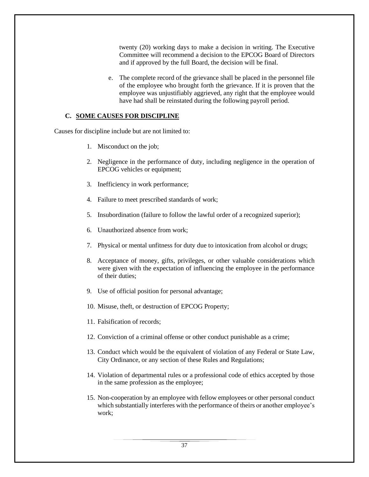twenty (20) working days to make a decision in writing. The Executive Committee will recommend a decision to the EPCOG Board of Directors and if approved by the full Board, the decision will be final.

e. The complete record of the grievance shall be placed in the personnel file of the employee who brought forth the grievance. If it is proven that the employee was unjustifiably aggrieved, any right that the employee would have had shall be reinstated during the following payroll period.

#### **C. SOME CAUSES FOR DISCIPLINE**

Causes for discipline include but are not limited to:

- 1. Misconduct on the job;
- 2. Negligence in the performance of duty, including negligence in the operation of EPCOG vehicles or equipment;
- 3. Inefficiency in work performance;
- 4. Failure to meet prescribed standards of work;
- 5. Insubordination (failure to follow the lawful order of a recognized superior);
- 6. Unauthorized absence from work;
- 7. Physical or mental unfitness for duty due to intoxication from alcohol or drugs;
- 8. Acceptance of money, gifts, privileges, or other valuable considerations which were given with the expectation of influencing the employee in the performance of their duties;
- 9. Use of official position for personal advantage;
- 10. Misuse, theft, or destruction of EPCOG Property;
- 11. Falsification of records;
- 12. Conviction of a criminal offense or other conduct punishable as a crime;
- 13. Conduct which would be the equivalent of violation of any Federal or State Law, City Ordinance, or any section of these Rules and Regulations;
- 14. Violation of departmental rules or a professional code of ethics accepted by those in the same profession as the employee;
- 15. Non-cooperation by an employee with fellow employees or other personal conduct which substantially interferes with the performance of theirs or another employee's work;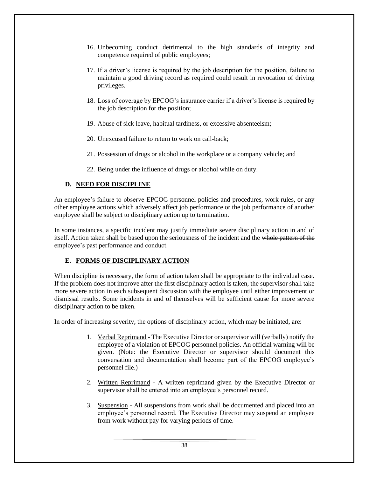- 16. Unbecoming conduct detrimental to the high standards of integrity and competence required of public employees;
- 17. If a driver's license is required by the job description for the position, failure to maintain a good driving record as required could result in revocation of driving privileges.
- 18. Loss of coverage by EPCOG's insurance carrier if a driver's license is required by the job description for the position;
- 19. Abuse of sick leave, habitual tardiness, or excessive absenteeism;
- 20. Unexcused failure to return to work on call-back;
- 21. Possession of drugs or alcohol in the workplace or a company vehicle; and
- 22. Being under the influence of drugs or alcohol while on duty.

# **D. NEED FOR DISCIPLINE**

An employee's failure to observe EPCOG personnel policies and procedures, work rules, or any other employee actions which adversely affect job performance or the job performance of another employee shall be subject to disciplinary action up to termination.

In some instances, a specific incident may justify immediate severe disciplinary action in and of itself. Action taken shall be based upon the seriousness of the incident and the whole pattern of the employee's past performance and conduct.

## **E. FORMS OF DISCIPLINARY ACTION**

When discipline is necessary, the form of action taken shall be appropriate to the individual case. If the problem does not improve after the first disciplinary action is taken, the supervisor shall take more severe action in each subsequent discussion with the employee until either improvement or dismissal results. Some incidents in and of themselves will be sufficient cause for more severe disciplinary action to be taken.

In order of increasing severity, the options of disciplinary action, which may be initiated, are:

- 1. Verbal Reprimand The Executive Director or supervisor will (verbally) notify the employee of a violation of EPCOG personnel policies. An official warning will be given. (Note: the Executive Director or supervisor should document this conversation and documentation shall become part of the EPCOG employee's personnel file.)
- 2. Written Reprimand A written reprimand given by the Executive Director or supervisor shall be entered into an employee's personnel record.
- 3. Suspension All suspensions from work shall be documented and placed into an employee's personnel record. The Executive Director may suspend an employee from work without pay for varying periods of time.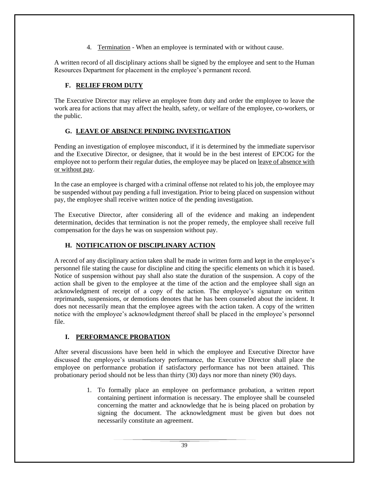4. Termination - When an employee is terminated with or without cause.

A written record of all disciplinary actions shall be signed by the employee and sent to the Human Resources Department for placement in the employee's permanent record.

# **F. RELIEF FROM DUTY**

The Executive Director may relieve an employee from duty and order the employee to leave the work area for actions that may affect the health, safety, or welfare of the employee, co-workers, or the public.

# **G. LEAVE OF ABSENCE PENDING INVESTIGATION**

Pending an investigation of employee misconduct, if it is determined by the immediate supervisor and the Executive Director, or designee, that it would be in the best interest of EPCOG for the employee not to perform their regular duties, the employee may be placed on leave of absence with or without pay.

In the case an employee is charged with a criminal offense not related to his job, the employee may be suspended without pay pending a full investigation. Prior to being placed on suspension without pay, the employee shall receive written notice of the pending investigation.

The Executive Director, after considering all of the evidence and making an independent determination, decides that termination is not the proper remedy, the employee shall receive full compensation for the days he was on suspension without pay.

# **H. NOTIFICATION OF DISCIPLINARY ACTION**

A record of any disciplinary action taken shall be made in written form and kept in the employee's personnel file stating the cause for discipline and citing the specific elements on which it is based. Notice of suspension without pay shall also state the duration of the suspension. A copy of the action shall be given to the employee at the time of the action and the employee shall sign an acknowledgment of receipt of a copy of the action. The employee's signature on written reprimands, suspensions, or demotions denotes that he has been counseled about the incident. It does not necessarily mean that the employee agrees with the action taken. A copy of the written notice with the employee's acknowledgment thereof shall be placed in the employee's personnel file.

## **I. PERFORMANCE PROBATION**

After several discussions have been held in which the employee and Executive Director have discussed the employee's unsatisfactory performance, the Executive Director shall place the employee on performance probation if satisfactory performance has not been attained. This probationary period should not be less than thirty (30) days nor more than ninety (90) days.

> 1. To formally place an employee on performance probation, a written report containing pertinent information is necessary. The employee shall be counseled concerning the matter and acknowledge that he is being placed on probation by signing the document. The acknowledgment must be given but does not necessarily constitute an agreement.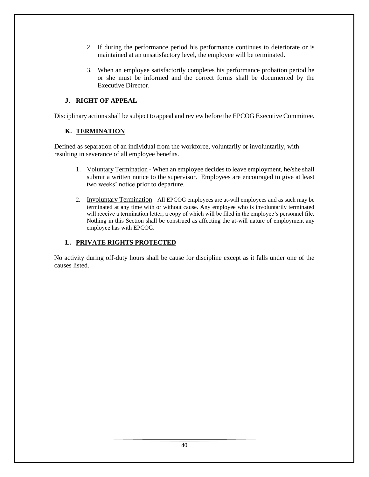- 2. If during the performance period his performance continues to deteriorate or is maintained at an unsatisfactory level, the employee will be terminated.
- 3. When an employee satisfactorily completes his performance probation period he or she must be informed and the correct forms shall be documented by the Executive Director.

# **J. RIGHT OF APPEAL**

Disciplinary actions shall be subject to appeal and review before the EPCOG Executive Committee.

# **K. TERMINATION**

Defined as separation of an individual from the workforce, voluntarily or involuntarily, with resulting in severance of all employee benefits.

- 1. Voluntary Termination When an employee decides to leave employment, he/she shall submit a written notice to the supervisor. Employees are encouraged to give at least two weeks' notice prior to departure.
- 2. Involuntary Termination All EPCOG employees are at-will employees and as such may be terminated at any time with or without cause. Any employee who is involuntarily terminated will receive a termination letter; a copy of which will be filed in the employee's personnel file. Nothing in this Section shall be construed as affecting the at-will nature of employment any employee has with EPCOG.

## **L. PRIVATE RIGHTS PROTECTED**

No activity during off-duty hours shall be cause for discipline except as it falls under one of the causes listed.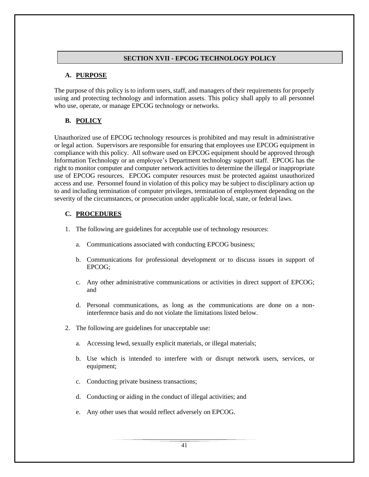## **SECTION XVII - EPCOG TECHNOLOGY POLICY**

## **A. PURPOSE**

The purpose of this policy is to inform users, staff, and managers of their requirements for properly using and protecting technology and information assets. This policy shall apply to all personnel who use, operate, or manage EPCOG technology or networks.

# **B. POLICY**

Unauthorized use of EPCOG technology resources is prohibited and may result in administrative or legal action. Supervisors are responsible for ensuring that employees use EPCOG equipment in compliance with this policy. All software used on EPCOG equipment should be approved through Information Technology or an employee's Department technology support staff. EPCOG has the right to monitor computer and computer network activities to determine the illegal or inappropriate use of EPCOG resources. EPCOG computer resources must be protected against unauthorized access and use. Personnel found in violation of this policy may be subject to disciplinary action up to and including termination of computer privileges, termination of employment depending on the severity of the circumstances, or prosecution under applicable local, state, or federal laws.

## **C. PROCEDURES**

- 1. The following are guidelines for acceptable use of technology resources:
	- a. Communications associated with conducting EPCOG business;
	- b. Communications for professional development or to discuss issues in support of EPCOG;
	- c. Any other administrative communications or activities in direct support of EPCOG; and
	- d. Personal communications, as long as the communications are done on a noninterference basis and do not violate the limitations listed below.
- 2. The following are guidelines for unacceptable use:
	- a. Accessing lewd, sexually explicit materials, or illegal materials;
	- b. Use which is intended to interfere with or disrupt network users, services, or equipment;
	- c. Conducting private business transactions;
	- d. Conducting or aiding in the conduct of illegal activities; and
	- e. Any other uses that would reflect adversely on EPCOG.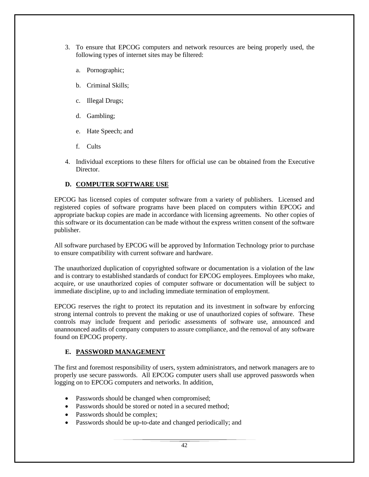- 3. To ensure that EPCOG computers and network resources are being properly used, the following types of internet sites may be filtered:
	- a. Pornographic;
	- b. Criminal Skills;
	- c. Illegal Drugs;
	- d. Gambling;
	- e. Hate Speech; and
	- f. Cults
- 4. Individual exceptions to these filters for official use can be obtained from the Executive Director.

## **D. COMPUTER SOFTWARE USE**

EPCOG has licensed copies of computer software from a variety of publishers. Licensed and registered copies of software programs have been placed on computers within EPCOG and appropriate backup copies are made in accordance with licensing agreements. No other copies of this software or its documentation can be made without the express written consent of the software publisher.

All software purchased by EPCOG will be approved by Information Technology prior to purchase to ensure compatibility with current software and hardware.

The unauthorized duplication of copyrighted software or documentation is a violation of the law and is contrary to established standards of conduct for EPCOG employees. Employees who make, acquire, or use unauthorized copies of computer software or documentation will be subject to immediate discipline, up to and including immediate termination of employment.

EPCOG reserves the right to protect its reputation and its investment in software by enforcing strong internal controls to prevent the making or use of unauthorized copies of software. These controls may include frequent and periodic assessments of software use, announced and unannounced audits of company computers to assure compliance, and the removal of any software found on EPCOG property.

#### **E. PASSWORD MANAGEMENT**

The first and foremost responsibility of users, system administrators, and network managers are to properly use secure passwords. All EPCOG computer users shall use approved passwords when logging on to EPCOG computers and networks. In addition,

- Passwords should be changed when compromised;
- Passwords should be stored or noted in a secured method;
- Passwords should be complex;
- Passwords should be up-to-date and changed periodically; and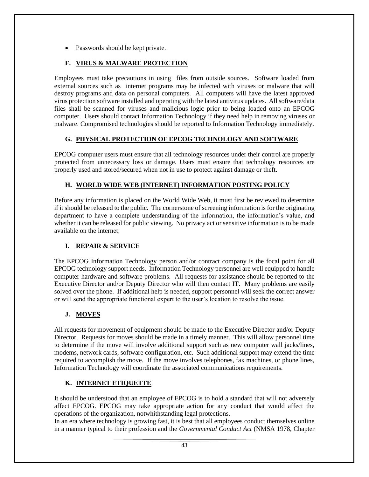• Passwords should be kept private.

# **F. VIRUS & MALWARE PROTECTION**

Employees must take precautions in using files from outside sources. Software loaded from external sources such as internet programs may be infected with viruses or malware that will destroy programs and data on personal computers. All computers will have the latest approved virus protection software installed and operating with the latest antivirus updates. All software/data files shall be scanned for viruses and malicious logic prior to being loaded onto an EPCOG computer. Users should contact Information Technology if they need help in removing viruses or malware. Compromised technologies should be reported to Information Technology immediately.

# **G. PHYSICAL PROTECTION OF EPCOG TECHNOLOGY AND SOFTWARE**

EPCOG computer users must ensure that all technology resources under their control are properly protected from unnecessary loss or damage. Users must ensure that technology resources are properly used and stored/secured when not in use to protect against damage or theft.

# **H. WORLD WIDE WEB (INTERNET) INFORMATION POSTING POLICY**

Before any information is placed on the World Wide Web, it must first be reviewed to determine if it should be released to the public. The cornerstone of screening information is for the originating department to have a complete understanding of the information, the information's value, and whether it can be released for public viewing. No privacy act or sensitive information is to be made available on the internet.

## **I. REPAIR & SERVICE**

The EPCOG Information Technology person and/or contract company is the focal point for all EPCOG technology support needs. Information Technology personnel are well equipped to handle computer hardware and software problems. All requests for assistance should be reported to the Executive Director and/or Deputy Director who will then contact IT. Many problems are easily solved over the phone. If additional help is needed, support personnel will seek the correct answer or will send the appropriate functional expert to the user's location to resolve the issue.

# **J. MOVES**

All requests for movement of equipment should be made to the Executive Director and/or Deputy Director. Requests for moves should be made in a timely manner. This will allow personnel time to determine if the move will involve additional support such as new computer wall jacks/lines, modems, network cards, software configuration, etc. Such additional support may extend the time required to accomplish the move. If the move involves telephones, fax machines, or phone lines, Information Technology will coordinate the associated communications requirements.

# **K. INTERNET ETIQUETTE**

It should be understood that an employee of EPCOG is to hold a standard that will not adversely affect EPCOG. EPCOG may take appropriate action for any conduct that would affect the operations of the organization, notwhithstanding legal protections.

In an era where technology is growing fast, it is best that all employees conduct themselves online in a manner typical to their profession and the *Governmental Conduct Act* (NMSA 1978, Chapter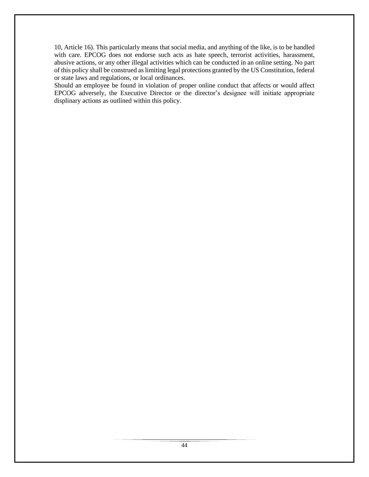10, Article 16). This particularly means that social media, and anything of the like, is to be handled with care. EPCOG does not endorse such acts as hate speech, terrorist activities, harassment, abusive actions, or any other illegal activities which can be conducted in an online setting. No part of this policy shall be construed as limiting legal protections granted by the US Constitution, federal or state laws and regulations, or local ordinances.

Should an employee be found in violation of proper online conduct that affects or would affect EPCOG adversely, the Executive Director or the director's designee will initiate appropriate displinary actions as outlined within this policy.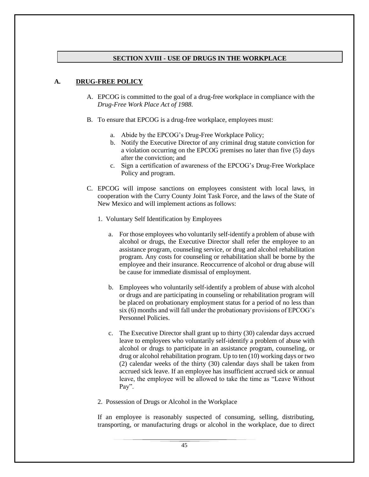## **SECTION XVIII - USE OF DRUGS IN THE WORKPLACE**

## **A. DRUG-FREE POLICY**

- A. EPCOG is committed to the goal of a drug-free workplace in compliance with the *Drug-Free Work Place Act of 1988*.
- B. To ensure that EPCOG is a drug-free workplace, employees must:
	- a. Abide by the EPCOG's Drug-Free Workplace Policy;
	- b. Notify the Executive Director of any criminal drug statute conviction for a violation occurring on the EPCOG premises no later than five (5) days after the conviction; and
	- c. Sign a certification of awareness of the EPCOG's Drug-Free Workplace Policy and program.
- C. EPCOG will impose sanctions on employees consistent with local laws, in cooperation with the Curry County Joint Task Force, and the laws of the State of New Mexico and will implement actions as follows:
	- 1. Voluntary Self Identification by Employees
		- a. For those employees who voluntarily self-identify a problem of abuse with alcohol or drugs, the Executive Director shall refer the employee to an assistance program, counseling service, or drug and alcohol rehabilitation program. Any costs for counseling or rehabilitation shall be borne by the employee and their insurance. Reoccurrence of alcohol or drug abuse will be cause for immediate dismissal of employment.
		- b. Employees who voluntarily self-identify a problem of abuse with alcohol or drugs and are participating in counseling or rehabilitation program will be placed on probationary employment status for a period of no less than six (6) months and will fall under the probationary provisions of EPCOG's Personnel Policies.
		- c. The Executive Director shall grant up to thirty (30) calendar days accrued leave to employees who voluntarily self-identify a problem of abuse with alcohol or drugs to participate in an assistance program, counseling, or drug or alcohol rehabilitation program. Up to ten (10) working days or two (2) calendar weeks of the thirty (30) calendar days shall be taken from accrued sick leave. If an employee has insufficient accrued sick or annual leave, the employee will be allowed to take the time as "Leave Without Pay".
	- 2. Possession of Drugs or Alcohol in the Workplace

If an employee is reasonably suspected of consuming, selling, distributing, transporting, or manufacturing drugs or alcohol in the workplace, due to direct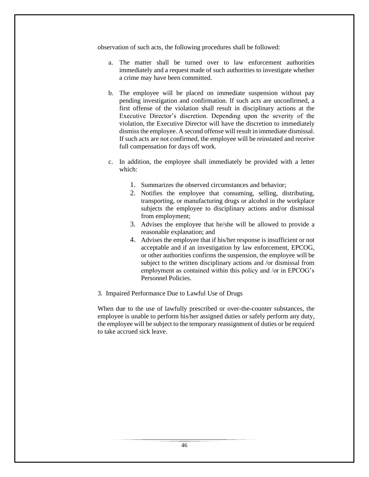observation of such acts, the following procedures shall be followed:

- a. The matter shall be turned over to law enforcement authorities immediately and a request made of such authorities to investigate whether a crime may have been committed.
- b. The employee will be placed on immediate suspension without pay pending investigation and confirmation. If such acts are unconfirmed, a first offense of the violation shall result in disciplinary actions at the Executive Director's discretion. Depending upon the severity of the violation, the Executive Director will have the discretion to immediately dismiss the employee. A second offense will result in immediate dismissal. If such acts are not confirmed, the employee will be reinstated and receive full compensation for days off work.
- c. In addition, the employee shall immediately be provided with a letter which:
	- 1. Summarizes the observed circumstances and behavior;
	- 2. Notifies the employee that consuming, selling, distributing, transporting, or manufacturing drugs or alcohol in the workplace subjects the employee to disciplinary actions and/or dismissal from employment;
	- 3. Advises the employee that he/she will be allowed to provide a reasonable explanation; and
	- 4. Advises the employee that if his/her response is insufficient or not acceptable and if an investigation by law enforcement, EPCOG, or other authorities confirms the suspension, the employee will be subject to the written disciplinary actions and /or dismissal from employment as contained within this policy and /or in EPCOG's Personnel Policies.
- 3. Impaired Performance Due to Lawful Use of Drugs

When due to the use of lawfully prescribed or over-the-counter substances, the employee is unable to perform his/her assigned duties or safely perform any duty, the employee will be subject to the temporary reassignment of duties or be required to take accrued sick leave.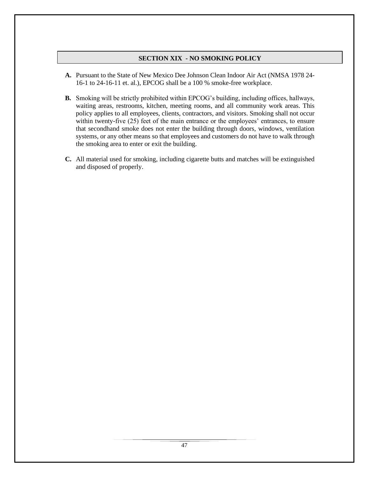## **SECTION XIX - NO SMOKING POLICY**

- **A.** Pursuant to the State of New Mexico Dee Johnson Clean Indoor Air Act (NMSA 1978 24- 16-1 to 24-16-11 et. al.), EPCOG shall be a 100 % smoke-free workplace.
- **B.** Smoking will be strictly prohibited within EPCOG's building, including offices, hallways, waiting areas, restrooms, kitchen, meeting rooms, and all community work areas. This policy applies to all employees, clients, contractors, and visitors. Smoking shall not occur within twenty-five (25) feet of the main entrance or the employees' entrances, to ensure that secondhand smoke does not enter the building through doors, windows, ventilation systems, or any other means so that employees and customers do not have to walk through the smoking area to enter or exit the building.
- **C.** All material used for smoking, including cigarette butts and matches will be extinguished and disposed of properly.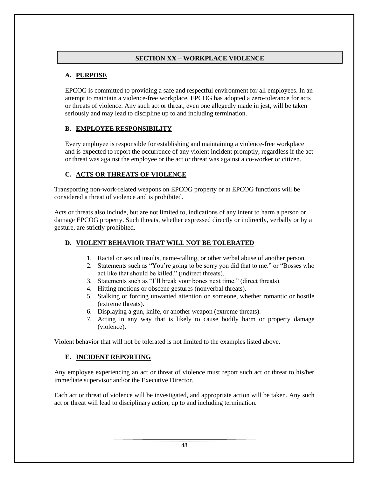# **SECTION XX – WORKPLACE VIOLENCE**

# **A. PURPOSE**

EPCOG is committed to providing a safe and respectful environment for all employees. In an attempt to maintain a violence-free workplace, EPCOG has adopted a zero-tolerance for acts or threats of violence. Any such act or threat, even one allegedly made in jest, will be taken seriously and may lead to discipline up to and including termination.

# **B. EMPLOYEE RESPONSIBILITY**

Every employee is responsible for establishing and maintaining a violence-free workplace and is expected to report the occurrence of any violent incident promptly, regardless if the act or threat was against the employee or the act or threat was against a co-worker or citizen.

# **C. ACTS OR THREATS OF VIOLENCE**

Transporting non-work-related weapons on EPCOG property or at EPCOG functions will be considered a threat of violence and is prohibited.

Acts or threats also include, but are not limited to, indications of any intent to harm a person or damage EPCOG property. Such threats, whether expressed directly or indirectly, verbally or by a gesture, are strictly prohibited.

# **D. VIOLENT BEHAVIOR THAT WILL NOT BE TOLERATED**

- 1. Racial or sexual insults, name-calling, or other verbal abuse of another person.
- 2. Statements such as "You're going to be sorry you did that to me." or "Bosses who act like that should be killed." (indirect threats).
- 3. Statements such as "I'll break your bones next time." (direct threats).
- 4. Hitting motions or obscene gestures (nonverbal threats).
- 5. Stalking or forcing unwanted attention on someone, whether romantic or hostile (extreme threats).
- 6. Displaying a gun, knife, or another weapon (extreme threats).
- 7. Acting in any way that is likely to cause bodily harm or property damage (violence).

Violent behavior that will not be tolerated is not limited to the examples listed above.

## **E. INCIDENT REPORTING**

Any employee experiencing an act or threat of violence must report such act or threat to his/her immediate supervisor and/or the Executive Director.

Each act or threat of violence will be investigated, and appropriate action will be taken. Any such act or threat will lead to disciplinary action, up to and including termination.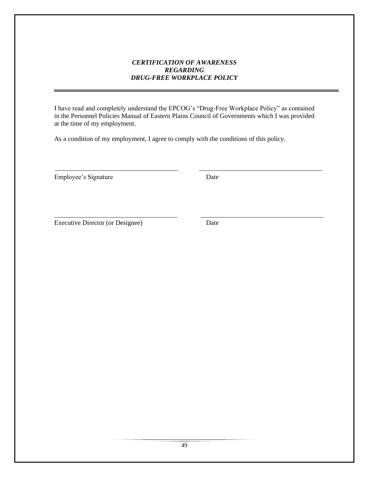## *CERTIFICATION OF AWARENESS REGARDING DRUG-FREE WORKPLACE POLICY*

I have read and completely understand the EPCOG's "Drug-Free Workplace Policy" as contained in the Personnel Policies Manual of Eastern Plains Council of Governments which I was provided at the time of my employment.

As a condition of my employment, I agree to comply with the conditions of this policy.

Employee's Signature Date

Executive Director (or Designee) Date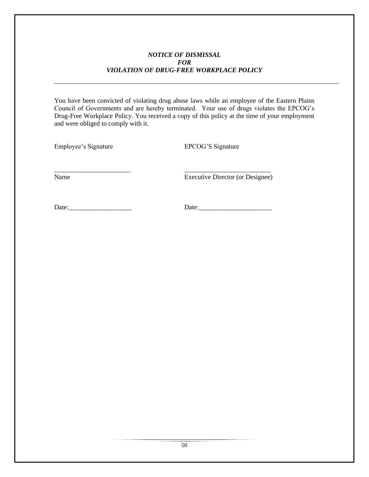## *NOTICE OF DISMISSAL FOR VIOLATION OF DRUG-FREE WORKPLACE POLICY*

You have been convicted of violating drug abuse laws while an employee of the Eastern Plains Council of Governments and are hereby terminated. Your use of drugs violates the EPCOG's Drug-Free Workplace Policy. You received a copy of this policy at the time of your employment and were obliged to comply with it.

\_\_\_\_\_\_\_\_\_\_\_\_\_\_\_\_\_\_\_\_\_\_\_ \_\_\_\_\_\_\_\_\_\_\_\_\_\_\_\_\_\_\_\_\_\_\_\_\_\_

Employee's Signature EPCOG'S Signature

Name Executive Director (or Designee)

Date:\_\_\_\_\_\_\_\_\_\_\_\_\_\_\_\_\_\_\_ Date:\_\_\_\_\_\_\_\_\_\_\_\_\_\_\_\_\_\_\_\_\_\_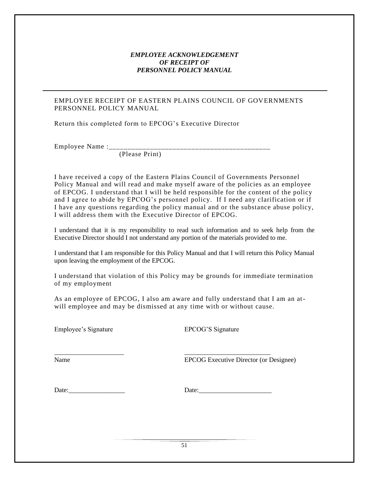## *EMPLOYEE ACKNOWLEDGEMENT OF RECEIPT OF PERSONNEL POLICY MANUAL*

## EMPLOYEE RECEIPT OF EASTERN PLAINS COUNCIL OF GOVERNMENTS PERSONNEL POLICY MANUAL

Return this completed form to EPCOG's Executive Director

Employee Name : $\mathcal{L}_{\text{max}}$ 

(Please Print)

I have received a copy of the Eastern Plains Council of Governments Personnel Policy Manual and will read and make myself aware of the policies as an employee of EPCOG. I understand that I will be held responsible for the content of the policy and I agree to abide by EPCOG's personnel policy. If I need any clarification or if I have any questions regarding the policy manual and or the substance abuse policy, I will address them with the Executive Director of EPCOG.

I understand that it is my responsibility to read such information and to seek help from the Executive Director should I not understand any portion of the materials provided to me.

I understand that I am responsible for this Policy Manual and that I will return this Policy Manual upon leaving the employment of the EPCOG.

I understand that violation of this Policy may be grounds for immediate termination of my employment

As an employee of EPCOG, I also am aware and fully understand that I am an atwill employee and may be dismissed at any time with or without cause.

\_\_\_\_\_\_\_\_\_\_\_\_\_\_\_\_\_\_\_\_\_ \_\_\_\_\_\_\_\_\_\_\_\_\_\_\_\_\_\_\_\_\_\_\_\_\_\_

Employee's Signature EPCOG'S Signature

Name EPCOG Executive Director (or Designee)

Date:\_\_\_\_\_\_\_\_\_\_\_\_\_\_\_\_\_ Date:\_\_\_\_\_\_\_\_\_\_\_\_\_\_\_\_\_\_\_\_\_\_